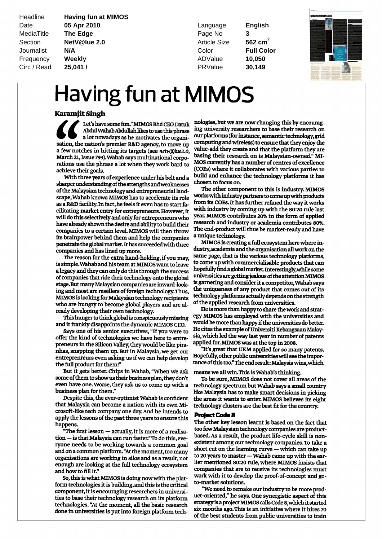Headline **Having fun at MIMOS** Date **05 Apr 2010** Language **English MediaTitle** The Edge **Page No. 2016** Page No. Section **NetV@lue 2.0 562 cm** Article Size Journalist **N/A** Color **Full Color Frequency Weekly Manual ADValue 10,050** Circ / Read **25,041 /** PRValue **30,149**

 $562$  cm<sup>2</sup>

**3**



## Having fun at MIMOS

## Karamjit Singh

Let's have some fun." MIMOS Bhd CEO Datuk  $\blacktriangle$ y y Abdul Wahab Abdullah likes to use this phrase<br>a lot nowadays as he motivates the organisation, the nation's premier R&D agency, to move up a few notches in hitting its targets (see netv@lue2 March 21, Issue 799). Wahab says multinational corporations use the phrase <sup>a</sup> lot when they work bard to achieve their goals

With three years of experience under his belt and a sharper understanding of the strengths and weaknesses of the Malaysian technology and entrepreneurial landscape, Wahab knows MIMOS has to accelerate its role as a R&D facility. In fact, he feels it even has to start fa cilitating market entry for entrepreneurs However it will do this selectively and only for entrepreneurs who have already shown the desire and ability to build their companies to <sup>a</sup> certain level MIMOS will then throw its brainpower behind them and help the companies penetrate the global market. It has succeeded with three companies and has lined up more.

The reason for the extra hand-holding, if you may, is simple. Wahab and his team at MIMOS want to leave a legacy and they can only do this through the success of companies that ride their technology onto the global stage. But many Malaysian companies are inward-looking and most are resellers of foreign technology. Thus, MIMOS is looking for Malaysian technology recipients who are hungry to become global players and are al ready developing their own technology

This hunger to think global is conspicuously missing and it frankly disappoints the dynamic MIMOS CEO.

Says one of his senior executives, "If you were to offer the kind of technologies we have here to entre preneurs in the Silicon Valley, they would be like piranhas, snapping them up. But in Malaysia, we get our entreprenreurs even asking us if we can help develop the full product for them!'

But it gets better. Chips in Wahab, "When we ask some of them to show us their business plan, they don't even have one. Worse, they ask us to come up with a business plan for them."

Despite this, the ever-optimist Wahab is confident that Malaysia can become <sup>a</sup> nation with its own Mi crosoft like tech company one day And he intends to apply the lessons of the past three years to ensure this happens

 $\bullet$  "The first lesson  $-$  actually, it is more of a realisa  $\epsilon$ tion — is that Malaysia can run faster." To do this, eve ryone needs to be working towards <sup>a</sup> common goal and on a common platform. "At the moment, too many short cut on the learning curve organisations are working in silos and as a result, not  $\frac{1}{2}$  to 20 years to master enough are looking at the full technology ecosystem and how to fill it."

> So, this is what MIMOS is doing now with the platform technologies it is building, and this is the critical component, it is encouraging researchers in universities to base their technology research on its platform technologies. "At the moment, all the basic research done in universities is put into foreign platform tech-

nologies, but we are now changing this by encouraging university researchers to base their research on our platforms (for instance, semantic technology, grid computing and wireless) to ensure that they enjoy the value-add they create and that the platform they are basing their research on is Malaysian-owned." MI-MOS currentlyhas <sup>a</sup> number of centres of excellence (COEs) where it collaborates with various parties to build and enhance the technology platforms it has chosen to focus on

The other componen<sup>t</sup> to this is industry MIMOS works with industry partners to come up with products from its COEs. It has further refined the way it works with industryby coming up with the 8020 rule last year. MIMOS contributes 20% in the form of applied research and industry or academia contributes 80 The end-product will thus be market-ready and have <sup>a</sup> unique technology

MIMOSis creating <sup>a</sup> full ecosystemherewhere in dustry, academia and the organisation all work on the same page, that is the various technology platforms, to come up with commercialisable products that can hopefully find a global market. Interestingly, while some universities are getting jealous of the attention MIMOS is garnering and considerit <sup>a</sup> competitor Wahab says the uniqueness of any product that comes out of its technology platforms actually depends on the strength of the applied research from universities.

He is more than happy to share the work and strategy MIMOS has employed with the universities and would be more than happy if the universities do better. He cites the example of Universiti Kebangsaan Malaysia, which led the way last year in number of patents applied for. MIMOS was at the top in 2008.

It's great that UKM applied for so many patents Hopefully, other public universities will see the importance of this too." The end result: Malaysia wins, which

means we all win.This is Wahab's thinking

To be sure, MIMOS does not cover all areas of the technology spectrum but Wahab says a small country like Malaysia has to make smart decisions in picking the areas it wants to enter. MIMOS believes its eight technology clusters are the best fit for the country.

## **Project Code 8**

The other key lesson learnt is based on the fact that too fewMalaysian technologycompanies areproduct based. As a result, the product life-cycle skill is non existent among our technology companies To take a short cut on the learning curve  $-$  which can take up to 20 years to master - Wahab came up with the earlier mentioned 80:20 rule, where MIMOS insists that companies that are to receive its technologies must work with it to develop the proof-of-concept and goto-market solutions.

"We need to remake our industry to be more product-oriented," he says. One synergistic aspect of this strategyisaprojectMIMOScallsCode 8 whichitstarted six months ago. This is an initiative where it hires 70 of the best students from public universities to train